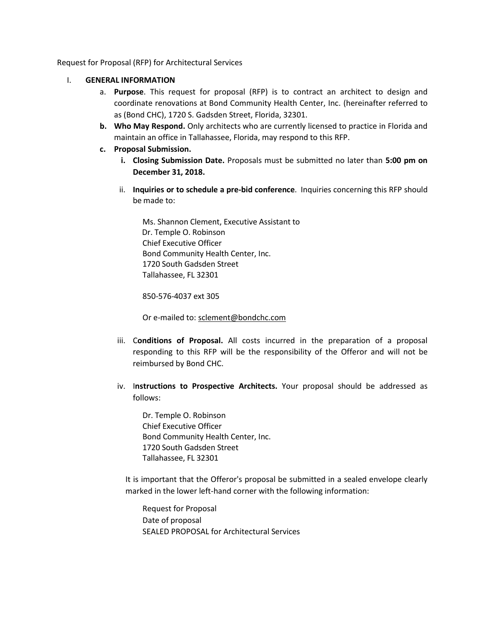Request for Proposal (RFP) for Architectural Services

- I. **GENERAL INFORMATION**
	- a. **Purpose**. This request for proposal (RFP) is to contract an architect to design and coordinate renovations at Bond Community Health Center, Inc. (hereinafter referred to as (Bond CHC), 1720 S. Gadsden Street, Florida, 32301.
	- **b. Who May Respond.** Only architects who are currently licensed to practice in Florida and maintain an office in Tallahassee, Florida, may respond to this RFP.
	- **c. Proposal Submission.**
		- **i. Closing Submission Date.** Proposals must be submitted no later than **5:00 pm on December 31, 2018.**
		- ii. **Inquiries or to schedule a pre-bid conference**. Inquiries concerning this RFP should be made to:

Ms. Shannon Clement, Executive Assistant to Dr. Temple O. Robinson Chief Executive Officer Bond Community Health Center, Inc. 1720 South Gadsden Street Tallahassee, FL 32301

850-576-4037 ext 305

Or e‐mailed to: [sclement@bondchc.com](mailto:sclement@bondchc.com)

- iii. C**onditions of Proposal.** All costs incurred in the preparation of a proposal responding to this RFP will be the responsibility of the Offeror and will not be reimbursed by Bond CHC.
- iv. I**nstructions to Prospective Architects.** Your proposal should be addressed as follows:

Dr. Temple O. Robinson Chief Executive Officer Bond Community Health Center, Inc. 1720 South Gadsden Street Tallahassee, FL 32301

It is important that the Offeror's proposal be submitted in a sealed envelope clearly marked in the lower left-hand corner with the following information:

Request for Proposal Date of proposal SEALED PROPOSAL for Architectural Services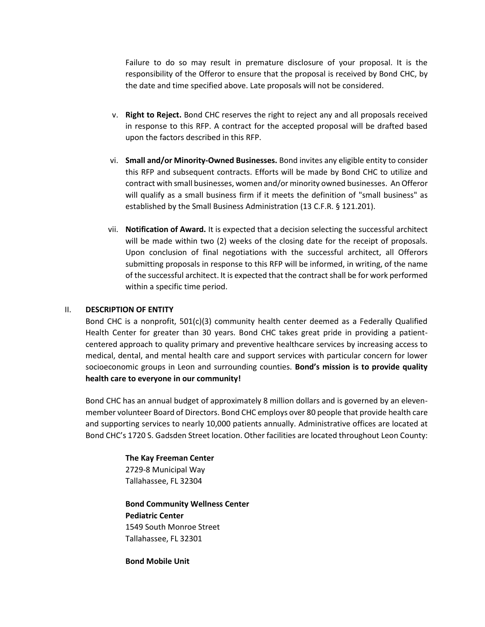Failure to do so may result in premature disclosure of your proposal. It is the responsibility of the Offeror to ensure that the proposal is received by Bond CHC, by the date and time specified above. Late proposals will not be considered.

- v. **Right to Reject.** Bond CHC reserves the right to reject any and all proposals received in response to this RFP. A contract for the accepted proposal will be drafted based upon the factors described in this RFP.
- vi. **Small and/or Minority‐Owned Businesses.** Bond invites any eligible entity to consider this RFP and subsequent contracts. Efforts will be made by Bond CHC to utilize and contract with small businesses, women and/or minority owned businesses. An Offeror will qualify as a small business firm if it meets the definition of "small business" as established by the Small Business Administration (13 C.F.R. § 121.201).
- vii. **Notification of Award.** It is expected that a decision selecting the successful architect will be made within two (2) weeks of the closing date for the receipt of proposals. Upon conclusion of final negotiations with the successful architect, all Offerors submitting proposals in response to this RFP will be informed, in writing, of the name of the successful architect. It is expected that the contract shall be for work performed within a specific time period.

### II. **DESCRIPTION OF ENTITY**

Bond CHC is a nonprofit,  $501(c)(3)$  community health center deemed as a Federally Qualified Health Center for greater than 30 years. Bond CHC takes great pride in providing a patientcentered approach to quality primary and preventive healthcare services by increasing access to medical, dental, and mental health care and support services with particular concern for lower socioeconomic groups in Leon and surrounding counties. **Bond's mission is to provide quality health care to everyone in our community!**

Bond CHC has an annual budget of approximately 8 million dollars and is governed by an elevenmember volunteer Board of Directors. Bond CHC employs over 80 people that provide health care and supporting services to nearly 10,000 patients annually. Administrative offices are located at Bond CHC's 1720 S. Gadsden Street location. Other facilities are located throughout Leon County:

> **The Kay Freeman Center**  2729-8 Municipal Way Tallahassee, FL 32304

**Bond Community Wellness Center Pediatric Center** 1549 South Monroe Street Tallahassee, FL 32301

**Bond Mobile Unit**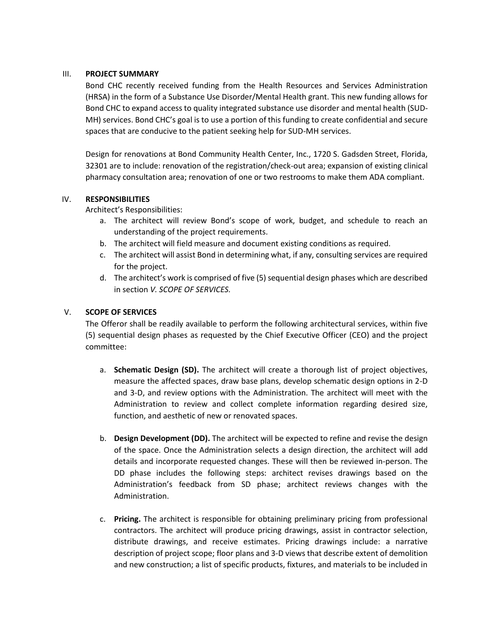### III. **PROJECT SUMMARY**

Bond CHC recently received funding from the Health Resources and Services Administration (HRSA) in the form of a Substance Use Disorder/Mental Health grant. This new funding allows for Bond CHC to expand access to quality integrated substance use disorder and mental health (SUD-MH) services. Bond CHC's goal is to use a portion of this funding to create confidential and secure spaces that are conducive to the patient seeking help for SUD-MH services.

Design for renovations at Bond Community Health Center, Inc., 1720 S. Gadsden Street, Florida, 32301 are to include: renovation of the registration/check-out area; expansion of existing clinical pharmacy consultation area; renovation of one or two restrooms to make them ADA compliant.

### IV. **RESPONSIBILITIES**

Architect's Responsibilities:

- a. The architect will review Bond's scope of work, budget, and schedule to reach an understanding of the project requirements.
- b. The architect will field measure and document existing conditions as required.
- c. The architect will assist Bond in determining what, if any, consulting services are required for the project.
- d. The architect's work is comprised of five (5) sequential design phases which are described in section *V. SCOPE OF SERVICES.*

# V. **SCOPE OF SERVICES**

The Offeror shall be readily available to perform the following architectural services, within five (5) sequential design phases as requested by the Chief Executive Officer (CEO) and the project committee:

- a. **Schematic Design (SD).** The architect will create a thorough list of project objectives, measure the affected spaces, draw base plans, develop schematic design options in 2-D and 3-D, and review options with the Administration. The architect will meet with the Administration to review and collect complete information regarding desired size, function, and aesthetic of new or renovated spaces.
- b. **Design Development (DD).** The architect will be expected to refine and revise the design of the space. Once the Administration selects a design direction, the architect will add details and incorporate requested changes. These will then be reviewed in-person. The DD phase includes the following steps: architect revises drawings based on the Administration's feedback from SD phase; architect reviews changes with the Administration.
- c. **Pricing.** The architect is responsible for obtaining preliminary pricing from professional contractors. The architect will produce pricing drawings, assist in contractor selection, distribute drawings, and receive estimates. Pricing drawings include: a narrative description of project scope; floor plans and 3-D views that describe extent of demolition and new construction; a list of specific products, fixtures, and materials to be included in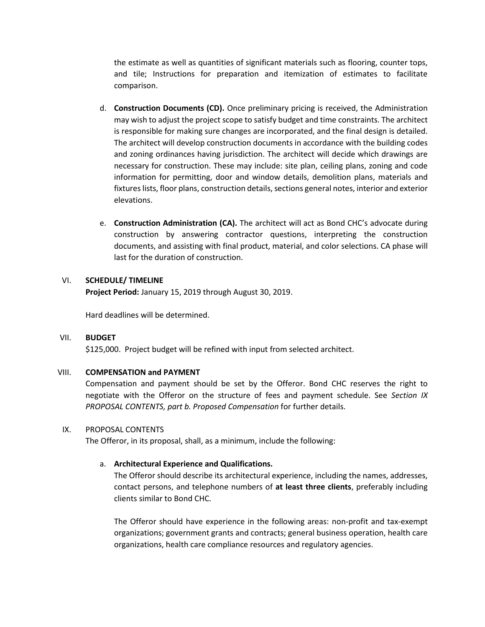the estimate as well as quantities of significant materials such as flooring, counter tops, and tile; Instructions for preparation and itemization of estimates to facilitate comparison.

- d. **Construction Documents (CD).** Once preliminary pricing is received, the Administration may wish to adjust the project scope to satisfy budget and time constraints. The architect is responsible for making sure changes are incorporated, and the final design is detailed. The architect will develop construction documents in accordance with the building codes and zoning ordinances having jurisdiction. The architect will decide which drawings are necessary for construction. These may include: site plan, ceiling plans, zoning and code information for permitting, door and window details, demolition plans, materials and fixtures lists, floor plans, construction details, sections general notes, interior and exterior elevations.
- e. **Construction Administration (CA).** The architect will act as Bond CHC's advocate during construction by answering contractor questions, interpreting the construction documents, and assisting with final product, material, and color selections. CA phase will last for the duration of construction.

### VI. **SCHEDULE/ TIMELINE**

**Project Period:** January 15, 2019 through August 30, 2019.

Hard deadlines will be determined.

### VII. **BUDGET**

\$125,000. Project budget will be refined with input from selected architect.

### VIII. **COMPENSATION and PAYMENT**

Compensation and payment should be set by the Offeror. Bond CHC reserves the right to negotiate with the Offeror on the structure of fees and payment schedule. See *Section IX PROPOSAL CONTENTS, part b. Proposed Compensation* for further details.

### IX. PROPOSAL CONTENTS

The Offeror, in its proposal, shall, as a minimum, include the following:

# a. **Architectural Experience and Qualifications.**

The Offeror should describe its architectural experience, including the names, addresses, contact persons, and telephone numbers of **at least three clients**, preferably including clients similar to Bond CHC.

The Offeror should have experience in the following areas: non-profit and tax-exempt organizations; government grants and contracts; general business operation, health care organizations, health care compliance resources and regulatory agencies.